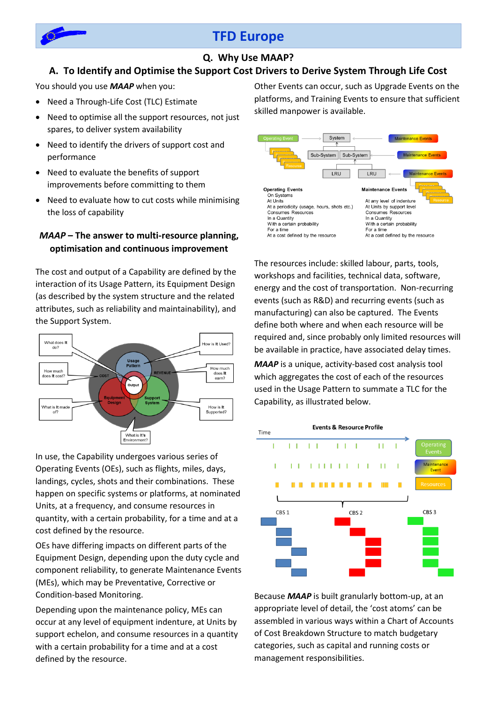

# **TFD Europe**

## **Q. Why Use MAAP?**

### **A. To Identify and Optimise the Support Cost Drivers to Derive System Through Life Cost**

You should you use *MAAP* when you:

- Need a Through-Life Cost (TLC) Estimate
- Need to optimise all the support resources, not just spares, to deliver system availability
- Need to identify the drivers of support cost and performance
- Need to evaluate the benefits of support improvements before committing to them
- Need to evaluate how to cut costs while minimising the loss of capability

### *MAAP* **– The answer to multi-resource planning, optimisation and continuous improvement**

The cost and output of a Capability are defined by the interaction of its Usage Pattern, its Equipment Design (as described by the system structure and the related attributes, such as reliability and maintainability), and the Support System.



In use, the Capability undergoes various series of Operating Events (OEs), such as flights, miles, days, landings, cycles, shots and their combinations. These happen on specific systems or platforms, at nominated Units, at a frequency, and consume resources in quantity, with a certain probability, for a time and at a cost defined by the resource.

OEs have differing impacts on different parts of the Equipment Design, depending upon the duty cycle and component reliability, to generate Maintenance Events (MEs), which may be Preventative, Corrective or Condition-based Monitoring.

Depending upon the maintenance policy, MEs can occur at any level of equipment indenture, at Units by support echelon, and consume resources in a quantity with a certain probability for a time and at a cost defined by the resource.

Other Events can occur, such as Upgrade Events on the platforms, and Training Events to ensure that sufficient skilled manpower is available.



The resources include: skilled labour, parts, tools, workshops and facilities, technical data, software, energy and the cost of transportation. Non-recurring events (such as R&D) and recurring events (such as manufacturing) can also be captured. The Events define both where and when each resource will be required and, since probably only limited resources will be available in practice, have associated delay times.

*MAAP* is a unique, activity-based cost analysis tool which aggregates the cost of each of the resources used in the Usage Pattern to summate a TLC for the Capability, as illustrated below.



Because *MAAP* is built granularly bottom-up, at an appropriate level of detail, the 'cost atoms' can be assembled in various ways within a Chart of Accounts of Cost Breakdown Structure to match budgetary categories, such as capital and running costs or management responsibilities.